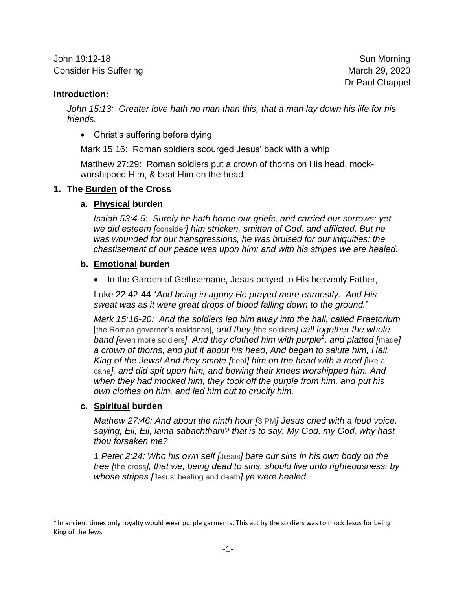John 19:12-18 Sun Morning Consider His Suffering **March 29, 2020** March 29, 2020

Dr Paul Chappel

### **Introduction:**

John 15:13: Greater love hath no man than this, that a man lay down his life for his *friends.*

• Christ's suffering before dying

Mark 15:16: Roman soldiers scourged Jesus' back with a whip

Matthew 27:29: Roman soldiers put a crown of thorns on His head, mockworshipped Him, & beat Him on the head

## **1. The Burden of the Cross**

## **a. Physical burden**

*Isaiah 53:4-5: Surely he hath borne our griefs, and carried our sorrows: yet we did esteem [*consider*] him stricken, smitten of God, and afflicted. But he was wounded for our transgressions, he was bruised for our iniquities: the chastisement of our peace was upon him; and with his stripes we are healed.*

## **b. Emotional burden**

• In the Garden of Gethsemane, Jesus prayed to His heavenly Father,

Luke 22:42-44 "*And being in agony He prayed more earnestly. And His sweat was as it were great drops of blood falling down to the ground.*"

*Mark 15:16-20: And the soldiers led him away into the hall, called Praetorium* [the Roman governor's residence]*; and they [*the soldiers*] call together the whole band [*even more soldiers*]. And they clothed him with purple<sup>1</sup> , and platted [*made*] a crown of thorns, and put it about his head, And began to salute him, Hail, King of the Jews! And they smote [*beat*] him on the head with a reed [*like a cane*], and did spit upon him, and bowing their knees worshipped him. And when they had mocked him, they took off the purple from him, and put his own clothes on him, and led him out to crucify him.*

### **c. Spiritual burden**

*Mathew 27:46: And about the ninth hour [*3 PM*] Jesus cried with a loud voice, saying, Eli, Eli, lama sabachthani? that is to say, My God, my God, why hast thou forsaken me?*

*1 Peter 2:24: Who his own self [*Jesus*] bare our sins in his own body on the tree [*the cross*], that we, being dead to sins, should live unto righteousness: by whose stripes [*Jesus' beating and death*] ye were healed.*

l  $^1$  In ancient times only royalty would wear purple garments. This act by the soldiers was to mock Jesus for being King of the Jews.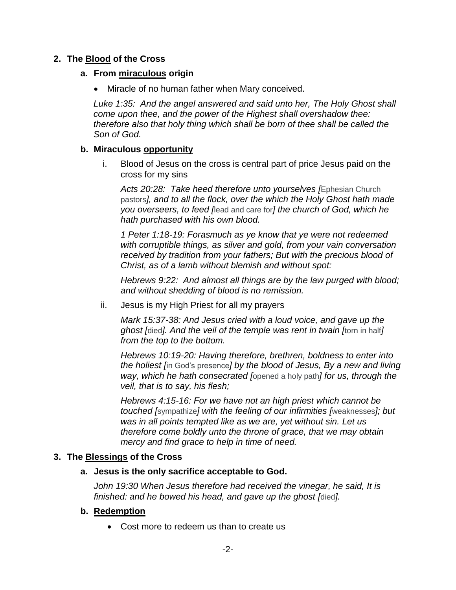# **2. The Blood of the Cross**

### **a. From miraculous origin**

Miracle of no human father when Mary conceived.

*Luke 1:35: And the angel answered and said unto her, The Holy Ghost shall come upon thee, and the power of the Highest shall overshadow thee: therefore also that holy thing which shall be born of thee shall be called the Son of God.*

## **b. Miraculous opportunity**

i. Blood of Jesus on the cross is central part of price Jesus paid on the cross for my sins

*Acts 20:28: Take heed therefore unto yourselves [*Ephesian Church pastors*], and to all the flock, over the which the Holy Ghost hath made you overseers, to feed [*lead and care for*] the church of God, which he hath purchased with his own blood.*

*1 Peter 1:18-19: Forasmuch as ye know that ye were not redeemed with corruptible things, as silver and gold, from your vain conversation received by tradition from your fathers; But with the precious blood of Christ, as of a lamb without blemish and without spot:*

*Hebrews 9:22: And almost all things are by the law purged with blood; and without shedding of blood is no remission.*

ii. Jesus is my High Priest for all my prayers

*Mark 15:37-38: And Jesus cried with a loud voice, and gave up the ghost [*died*]. And the veil of the temple was rent in twain [*torn in half*] from the top to the bottom.*

*Hebrews 10:19-20: Having therefore, brethren, boldness to enter into the holiest [*in God's presence*] by the blood of Jesus, By a new and living way, which he hath consecrated [*opened a holy path*] for us, through the veil, that is to say, his flesh;*

*Hebrews 4:15-16: For we have not an high priest which cannot be touched [*sympathize*] with the feeling of our infirmities [*weaknesses*]; but was in all points tempted like as we are, yet without sin. Let us therefore come boldly unto the throne of grace, that we may obtain mercy and find grace to help in time of need.*

# **3. The Blessings of the Cross**

# **a. Jesus is the only sacrifice acceptable to God.**

*John 19:30 When Jesus therefore had received the vinegar, he said, It is finished: and he bowed his head, and gave up the ghost [*died*].*

# **b. Redemption**

Cost more to redeem us than to create us